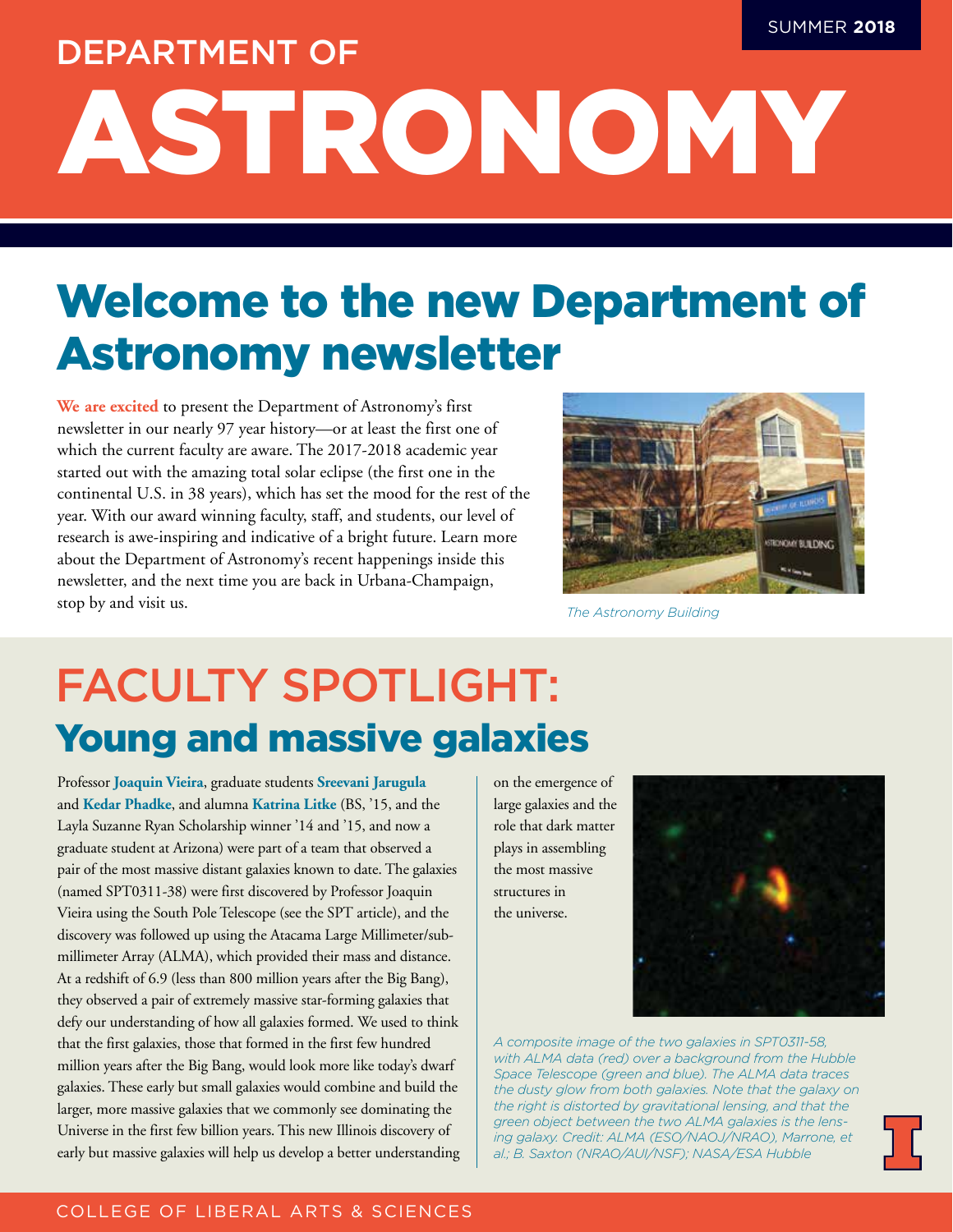# ASTRONOMY SUMMER **2018** DEPARTMENT OF

## Welcome to the new Department of Astronomy newsletter

**We are excited** to present the Department of Astronomy's first newsletter in our nearly 97 year history—or at least the first one of which the current faculty are aware. The 2017-2018 academic year started out with the amazing total solar eclipse (the first one in the continental U.S. in 38 years), which has set the mood for the rest of the year. With our award winning faculty, staff, and students, our level of research is awe-inspiring and indicative of a bright future. Learn more about the Department of Astronomy's recent happenings inside this newsletter, and the next time you are back in Urbana-Champaign, stop by and visit us.



*The Astronomy Building*

### FACULTY SPOTLIGHT: Young and massive galaxies

Professor **Joaquin Vieira**, graduate students **Sreevani Jarugula** and **Kedar Phadke**, and alumna **Katrina Litke** (BS, '15, and the Layla Suzanne Ryan Scholarship winner '14 and '15, and now a graduate student at Arizona) were part of a team that observed a pair of the most massive distant galaxies known to date. The galaxies (named SPT0311-38) were first discovered by Professor Joaquin Vieira using the South Pole Telescope (see the SPT article), and the discovery was followed up using the Atacama Large Millimeter/submillimeter Array (ALMA), which provided their mass and distance. At a redshift of 6.9 (less than 800 million years after the Big Bang), they observed a pair of extremely massive star-forming galaxies that defy our understanding of how all galaxies formed. We used to think that the first galaxies, those that formed in the first few hundred million years after the Big Bang, would look more like today's dwarf galaxies. These early but small galaxies would combine and build the larger, more massive galaxies that we commonly see dominating the Universe in the first few billion years. This new Illinois discovery of early but massive galaxies will help us develop a better understanding

on the emergence of large galaxies and the role that dark matter plays in assembling the most massive structures in the universe.



*A composite image of the two galaxies in SPT0311-58, with ALMA data (red) over a background from the Hubble Space Telescope (green and blue). The ALMA data traces the dusty glow from both galaxies. Note that the galaxy on the right is distorted by gravitational lensing, and that the green object between the two ALMA galaxies is the lensing galaxy. Credit: ALMA (ESO/NAOJ/NRAO), Marrone, et al.; B. Saxton (NRAO/AUI/NSF); NASA/ESA Hubble*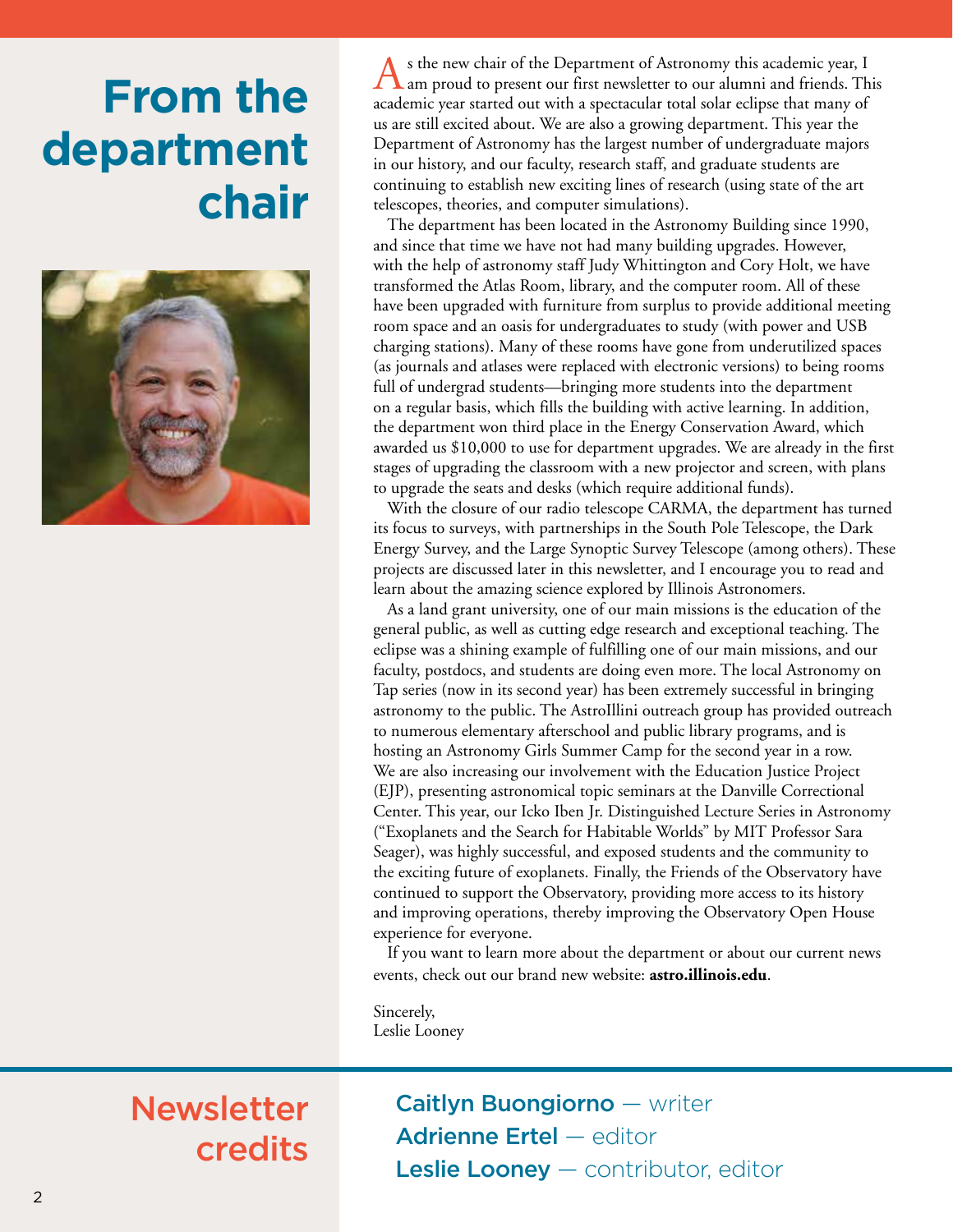## **From the department chair**



s the new chair of the Department of Astronomy this academic year, I am proud to present our first newsletter to our alumni and friends. This academic year started out with a spectacular total solar eclipse that many of us are still excited about. We are also a growing department. This year the Department of Astronomy has the largest number of undergraduate majors in our history, and our faculty, research staff, and graduate students are continuing to establish new exciting lines of research (using state of the art telescopes, theories, and computer simulations).

The department has been located in the Astronomy Building since 1990, and since that time we have not had many building upgrades. However, with the help of astronomy staff Judy Whittington and Cory Holt, we have transformed the Atlas Room, library, and the computer room. All of these have been upgraded with furniture from surplus to provide additional meeting room space and an oasis for undergraduates to study (with power and USB charging stations). Many of these rooms have gone from underutilized spaces (as journals and atlases were replaced with electronic versions) to being rooms full of undergrad students—bringing more students into the department on a regular basis, which fills the building with active learning. In addition, the department won third place in the Energy Conservation Award, which awarded us \$10,000 to use for department upgrades. We are already in the first stages of upgrading the classroom with a new projector and screen, with plans to upgrade the seats and desks (which require additional funds).

With the closure of our radio telescope CARMA, the department has turned its focus to surveys, with partnerships in the South Pole Telescope, the Dark Energy Survey, and the Large Synoptic Survey Telescope (among others). These projects are discussed later in this newsletter, and I encourage you to read and learn about the amazing science explored by Illinois Astronomers.

As a land grant university, one of our main missions is the education of the general public, as well as cutting edge research and exceptional teaching. The eclipse was a shining example of fulfilling one of our main missions, and our faculty, postdocs, and students are doing even more. The local Astronomy on Tap series (now in its second year) has been extremely successful in bringing astronomy to the public. The AstroIllini outreach group has provided outreach to numerous elementary afterschool and public library programs, and is hosting an Astronomy Girls Summer Camp for the second year in a row. We are also increasing our involvement with the Education Justice Project (EJP), presenting astronomical topic seminars at the Danville Correctional Center. This year, our Icko Iben Jr. Distinguished Lecture Series in Astronomy ("Exoplanets and the Search for Habitable Worlds" by MIT Professor Sara Seager), was highly successful, and exposed students and the community to the exciting future of exoplanets. Finally, the Friends of the Observatory have continued to support the Observatory, providing more access to its history and improving operations, thereby improving the Observatory Open House experience for everyone.

If you want to learn more about the department or about our current news events, check out our brand new website: **astro.illinois.edu**.

Sincerely, Leslie Looney

### Newsletter credits

Caitlyn Buongiorno - writer Adrienne Ertel — editor Leslie Looney - contributor, editor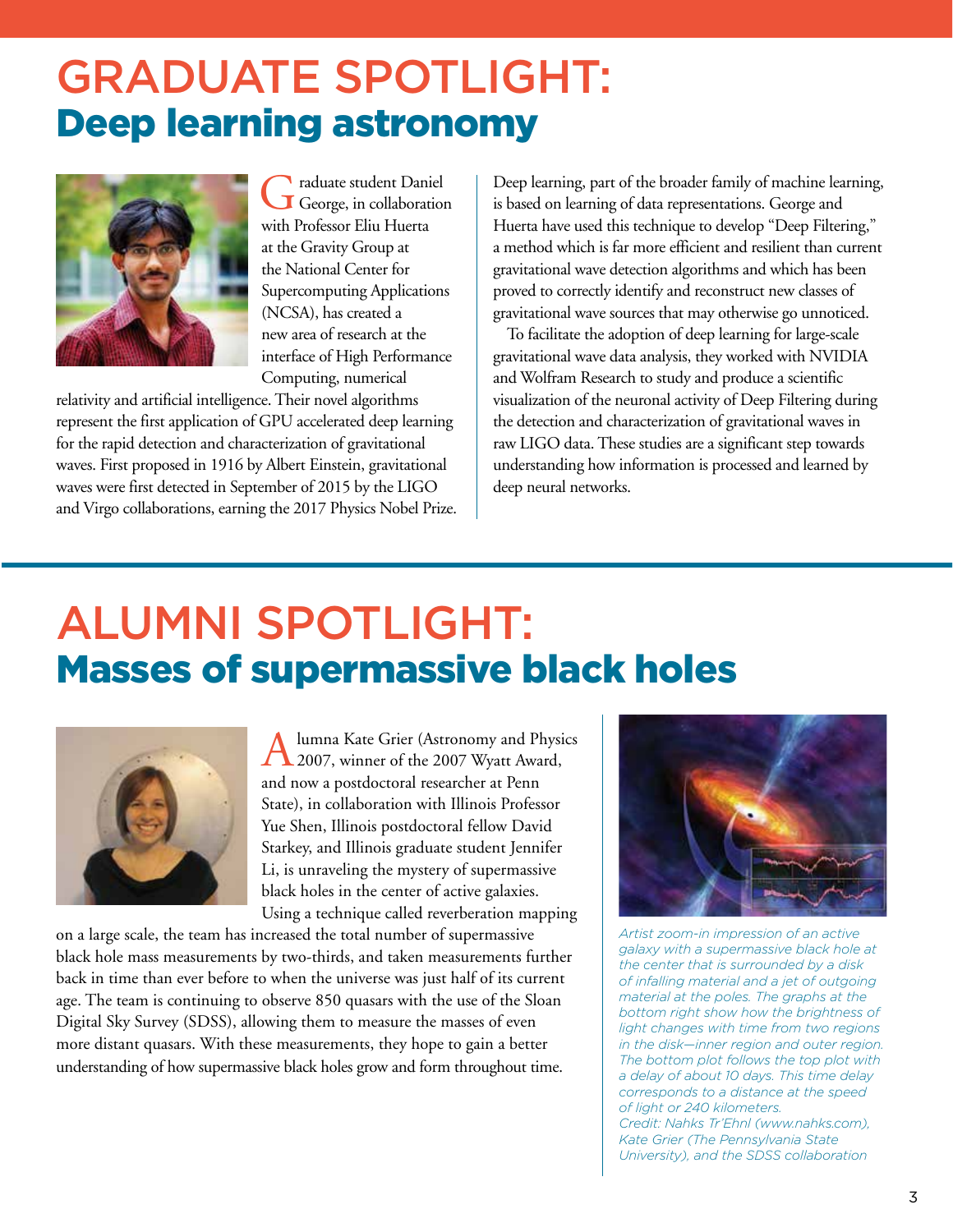### GRADUATE SPOTLIGHT: Deep learning astronomy



Graduate student Daniel with Professor Eliu Huerta at the Gravity Group at the National Center for Supercomputing Applications (NCSA), has created a new area of research at the interface of High Performance Computing, numerical

relativity and artificial intelligence. Their novel algorithms represent the first application of GPU accelerated deep learning for the rapid detection and characterization of gravitational waves. First proposed in 1916 by Albert Einstein, gravitational waves were first detected in September of 2015 by the LIGO and Virgo collaborations, earning the 2017 Physics Nobel Prize.

Deep learning, part of the broader family of machine learning, is based on learning of data representations. George and Huerta have used this technique to develop "Deep Filtering," a method which is far more efficient and resilient than current gravitational wave detection algorithms and which has been proved to correctly identify and reconstruct new classes of gravitational wave sources that may otherwise go unnoticed.

To facilitate the adoption of deep learning for large-scale gravitational wave data analysis, they worked with NVIDIA and Wolfram Research to study and produce a scientific visualization of the neuronal activity of Deep Filtering during the detection and characterization of gravitational waves in raw LIGO data. These studies are a significant step towards understanding how information is processed and learned by deep neural networks.

### ALUMNI SPOTLIGHT: Masses of supermassive black holes



Alumna Kate Grier (Astronomy and Physics 2007, winner of the 2007 Wyatt Award, and now a postdoctoral researcher at Penn State), in collaboration with Illinois Professor Yue Shen, Illinois postdoctoral fellow David Starkey, and Illinois graduate student Jennifer Li, is unraveling the mystery of supermassive black holes in the center of active galaxies. Using a technique called reverberation mapping

on a large scale, the team has increased the total number of supermassive black hole mass measurements by two-thirds, and taken measurements further back in time than ever before to when the universe was just half of its current age. The team is continuing to observe 850 quasars with the use of the Sloan Digital Sky Survey (SDSS), allowing them to measure the masses of even more distant quasars. With these measurements, they hope to gain a better understanding of how supermassive black holes grow and form throughout time.



*Artist zoom-in impression of an active galaxy with a supermassive black hole at the center that is surrounded by a disk of infalling material and a jet of outgoing material at the poles. The graphs at the bottom right show how the brightness of light changes with time from two regions in the disk—inner region and outer region. The bottom plot follows the top plot with a delay of about 10 days. This time delay corresponds to a distance at the speed of light or 240 kilometers. Credit: Nahks Tr'Ehnl (www.nahks.com), Kate Grier (The Pennsylvania State University), and the SDSS collaboration*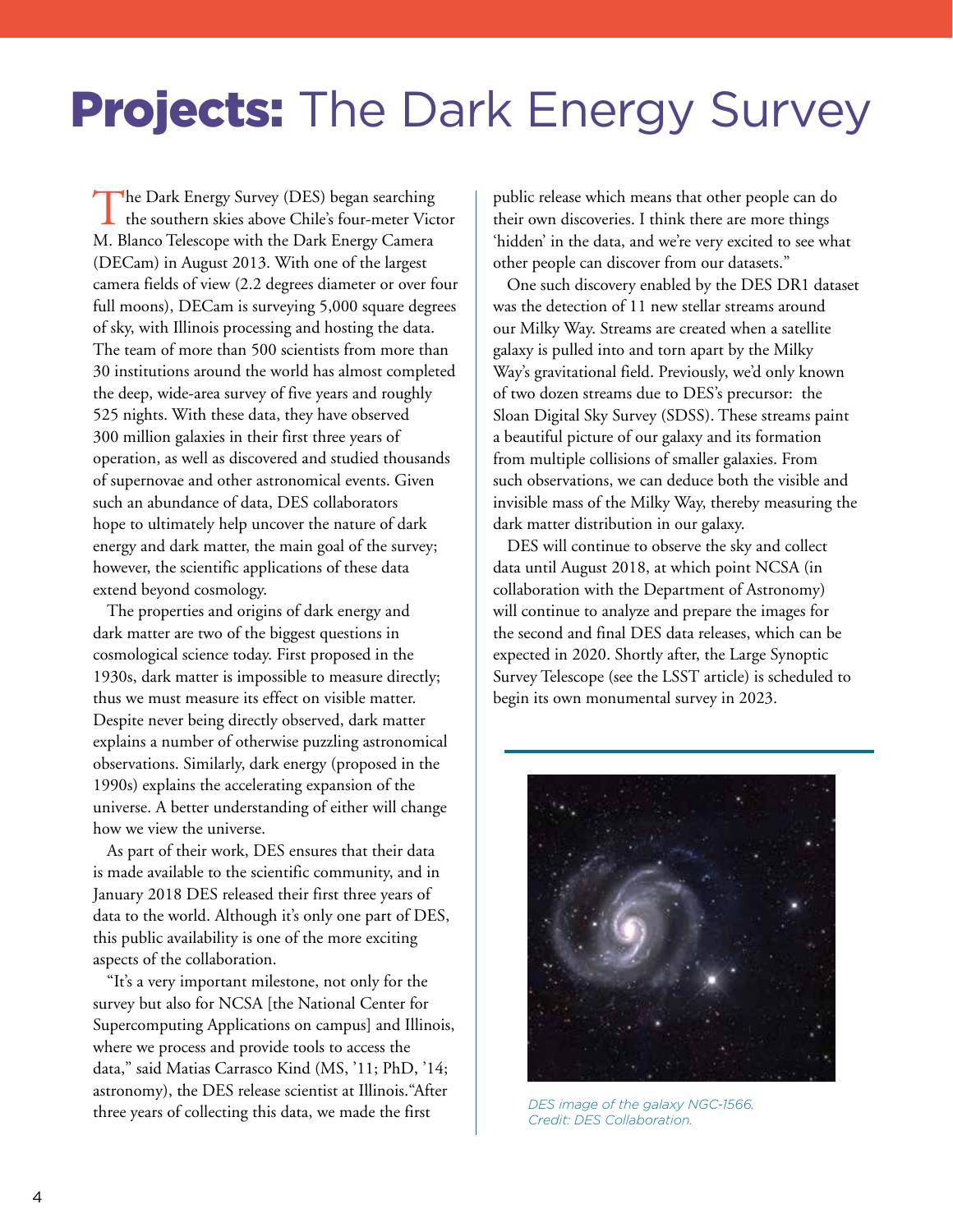## **Projects:** The Dark Energy Survey

The Dark Energy Survey (DES) began searching<br>the southern skies above Chile's four-meter Victor M. Blanco Telescope with the Dark Energy Camera (DECam) in August 2013. With one of the largest camera fields of view (2.2 degrees diameter or over four full moons), DECam is surveying 5,000 square degrees of sky, with Illinois processing and hosting the data. The team of more than 500 scientists from more than 30 institutions around the world has almost completed the deep, wide-area survey of five years and roughly 525 nights. With these data, they have observed 300 million galaxies in their first three years of operation, as well as discovered and studied thousands of supernovae and other astronomical events. Given such an abundance of data, DES collaborators hope to ultimately help uncover the nature of dark energy and dark matter, the main goal of the survey; however, the scientific applications of these data extend beyond cosmology.

The properties and origins of dark energy and dark matter are two of the biggest questions in cosmological science today. First proposed in the 1930s, dark matter is impossible to measure directly; thus we must measure its effect on visible matter. Despite never being directly observed, dark matter explains a number of otherwise puzzling astronomical observations. Similarly, dark energy (proposed in the 1990s) explains the accelerating expansion of the universe. A better understanding of either will change how we view the universe.

As part of their work, DES ensures that their data is made available to the scientific community, and in January 2018 DES released their first three years of data to the world. Although it's only one part of DES, this public availability is one of the more exciting aspects of the collaboration.

"It's a very important milestone, not only for the survey but also for NCSA [the National Center for Supercomputing Applications on campus] and Illinois, where we process and provide tools to access the data," said Matias Carrasco Kind (MS, '11; PhD, '14; astronomy), the DES release scientist at Illinois."After three years of collecting this data, we made the first

public release which means that other people can do their own discoveries. I think there are more things 'hidden' in the data, and we're very excited to see what other people can discover from our datasets."

One such discovery enabled by the DES DR1 dataset was the detection of 11 new stellar streams around our Milky Way. Streams are created when a satellite galaxy is pulled into and torn apart by the Milky Way's gravitational field. Previously, we'd only known of two dozen streams due to DES's precursor: the Sloan Digital Sky Survey (SDSS). These streams paint a beautiful picture of our galaxy and its formation from multiple collisions of smaller galaxies. From such observations, we can deduce both the visible and invisible mass of the Milky Way, thereby measuring the dark matter distribution in our galaxy.

DES will continue to observe the sky and collect data until August 2018, at which point NCSA (in collaboration with the Department of Astronomy) will continue to analyze and prepare the images for the second and final DES data releases, which can be expected in 2020. Shortly after, the Large Synoptic Survey Telescope (see the LSST article) is scheduled to begin its own monumental survey in 2023.



*DES image of the galaxy NGC-1566. Credit: DES Collaboration.*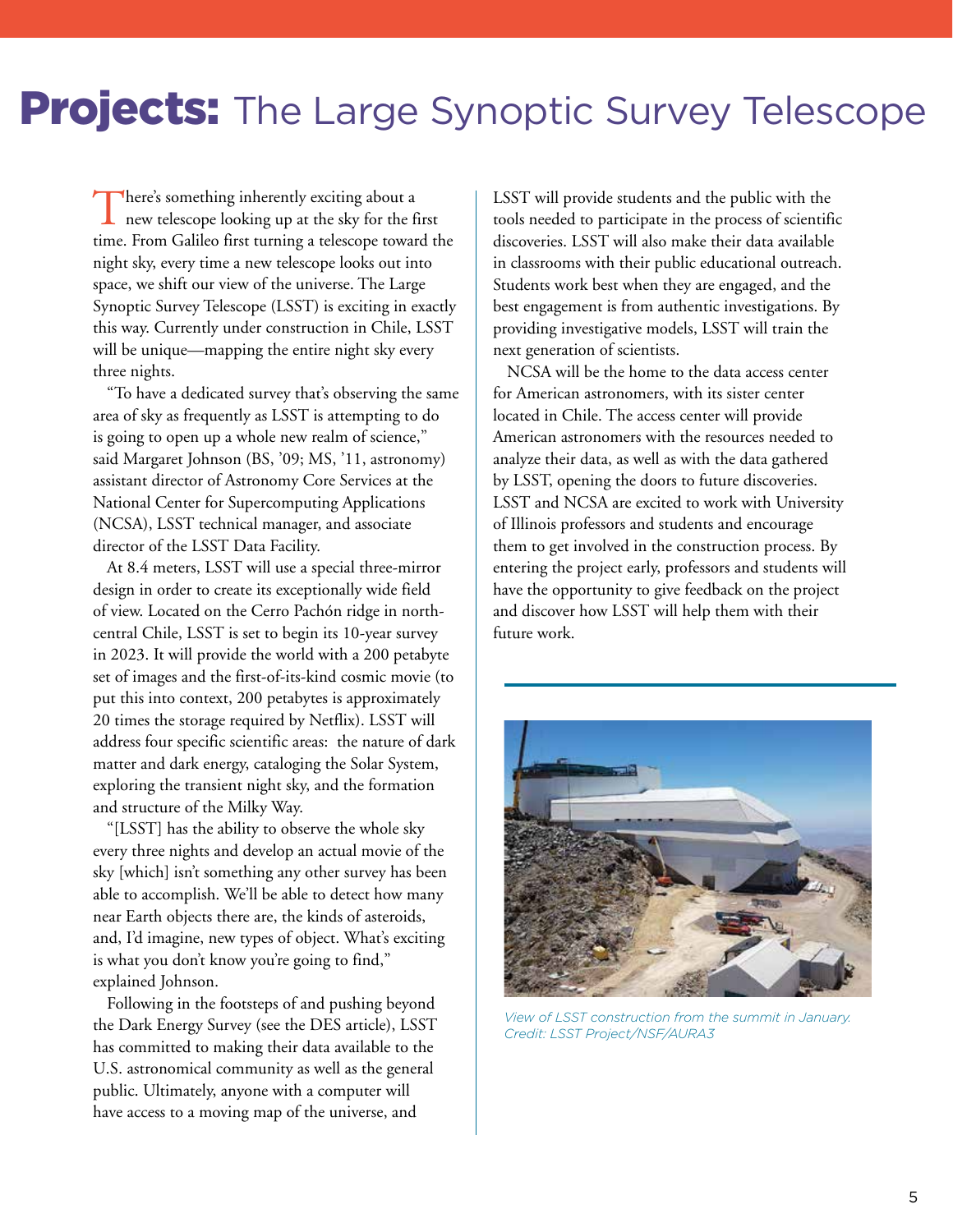### **Projects:** The Large Synoptic Survey Telescope

There's something inherently exciting about a new telescope looking up at the sky for the first time. From Galileo first turning a telescope toward the night sky, every time a new telescope looks out into space, we shift our view of the universe. The Large Synoptic Survey Telescope (LSST) is exciting in exactly this way. Currently under construction in Chile, LSST will be unique—mapping the entire night sky every three nights.

"To have a dedicated survey that's observing the same area of sky as frequently as LSST is attempting to do is going to open up a whole new realm of science," said Margaret Johnson (BS, '09; MS, '11, astronomy) assistant director of Astronomy Core Services at the National Center for Supercomputing Applications (NCSA), LSST technical manager, and associate director of the LSST Data Facility.

At 8.4 meters, LSST will use a special three-mirror design in order to create its exceptionally wide field of view. Located on the Cerro Pachón ridge in northcentral Chile, LSST is set to begin its 10-year survey in 2023. It will provide the world with a 200 petabyte set of images and the first-of-its-kind cosmic movie (to put this into context, 200 petabytes is approximately 20 times the storage required by Netflix). LSST will address four specific scientific areas: the nature of dark matter and dark energy, cataloging the Solar System, exploring the transient night sky, and the formation and structure of the Milky Way.

"[LSST] has the ability to observe the whole sky every three nights and develop an actual movie of the sky [which] isn't something any other survey has been able to accomplish. We'll be able to detect how many near Earth objects there are, the kinds of asteroids, and, I'd imagine, new types of object. What's exciting is what you don't know you're going to find," explained Johnson.

Following in the footsteps of and pushing beyond the Dark Energy Survey (see the DES article), LSST has committed to making their data available to the U.S. astronomical community as well as the general public. Ultimately, anyone with a computer will have access to a moving map of the universe, and

LSST will provide students and the public with the tools needed to participate in the process of scientific discoveries. LSST will also make their data available in classrooms with their public educational outreach. Students work best when they are engaged, and the best engagement is from authentic investigations. By providing investigative models, LSST will train the next generation of scientists.

NCSA will be the home to the data access center for American astronomers, with its sister center located in Chile. The access center will provide American astronomers with the resources needed to analyze their data, as well as with the data gathered by LSST, opening the doors to future discoveries. LSST and NCSA are excited to work with University of Illinois professors and students and encourage them to get involved in the construction process. By entering the project early, professors and students will have the opportunity to give feedback on the project and discover how LSST will help them with their future work.



*View of LSST construction from the summit in January. Credit: LSST Project/NSF/AURA3*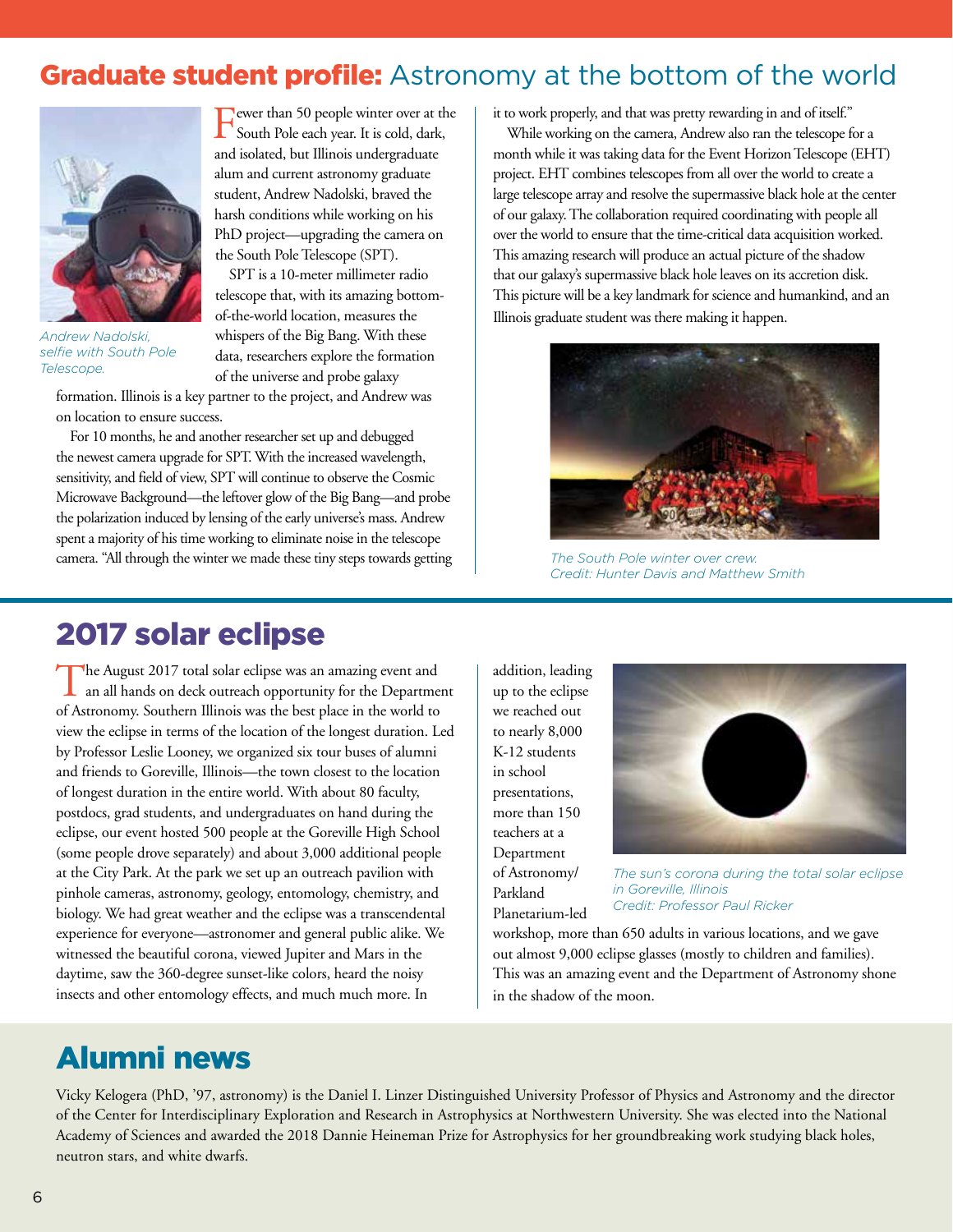#### Graduate student profile: Astronomy at the bottom of the world



*Andrew Nadolski, selfie with South Pole Telescope.*

Fewer than 50 people winter over at the South Pole each year. It is cold, dark, and isolated, but Illinois undergraduate alum and current astronomy graduate student, Andrew Nadolski, braved the harsh conditions while working on his PhD project—upgrading the camera on the South Pole Telescope (SPT).

SPT is a 10-meter millimeter radio telescope that, with its amazing bottomof-the-world location, measures the whispers of the Big Bang. With these data, researchers explore the formation of the universe and probe galaxy

formation. Illinois is a key partner to the project, and Andrew was on location to ensure success.

For 10 months, he and another researcher set up and debugged the newest camera upgrade for SPT. With the increased wavelength, sensitivity, and field of view, SPT will continue to observe the Cosmic Microwave Background—the leftover glow of the Big Bang—and probe the polarization induced by lensing of the early universe's mass. Andrew spent a majority of his time working to eliminate noise in the telescope camera. "All through the winter we made these tiny steps towards getting it to work properly, and that was pretty rewarding in and of itself."

While working on the camera, Andrew also ran the telescope for a month while it was taking data for the Event Horizon Telescope (EHT) project. EHT combines telescopes from all over the world to create a large telescope array and resolve the supermassive black hole at the center of our galaxy. The collaboration required coordinating with people all over the world to ensure that the time-critical data acquisition worked. This amazing research will produce an actual picture of the shadow that our galaxy's supermassive black hole leaves on its accretion disk. This picture will be a key landmark for science and humankind, and an Illinois graduate student was there making it happen.



*The South Pole winter over crew. Credit: Hunter Davis and Matthew Smith*

#### 2017 solar eclipse

The August 2017 total solar eclipse was an amazing event and an all hands on deck outreach opportunity for the Department of Astronomy. Southern Illinois was the best place in the world to view the eclipse in terms of the location of the longest duration. Led by Professor Leslie Looney, we organized six tour buses of alumni and friends to Goreville, Illinois—the town closest to the location of longest duration in the entire world. With about 80 faculty, postdocs, grad students, and undergraduates on hand during the eclipse, our event hosted 500 people at the Goreville High School (some people drove separately) and about 3,000 additional people at the City Park. At the park we set up an outreach pavilion with pinhole cameras, astronomy, geology, entomology, chemistry, and biology. We had great weather and the eclipse was a transcendental experience for everyone—astronomer and general public alike. We witnessed the beautiful corona, viewed Jupiter and Mars in the daytime, saw the 360-degree sunset-like colors, heard the noisy insects and other entomology effects, and much much more. In

addition, leading up to the eclipse we reached out to nearly 8,000 K-12 students in school presentations, more than 150 teachers at a Department of Astronomy/ Parkland Planetarium-led



*The sun's corona during the total solar eclipse in Goreville, Illinois Credit: Professor Paul Ricker*

workshop, more than 650 adults in various locations, and we gave out almost 9,000 eclipse glasses (mostly to children and families). This was an amazing event and the Department of Astronomy shone in the shadow of the moon.

#### Alumni news

Vicky Kelogera (PhD, '97, astronomy) is the Daniel I. Linzer Distinguished University Professor of Physics and Astronomy and the director of the Center for Interdisciplinary Exploration and Research in Astrophysics at Northwestern University. She was elected into the National Academy of Sciences and awarded the 2018 Dannie Heineman Prize for Astrophysics for her groundbreaking work studying black holes, neutron stars, and white dwarfs.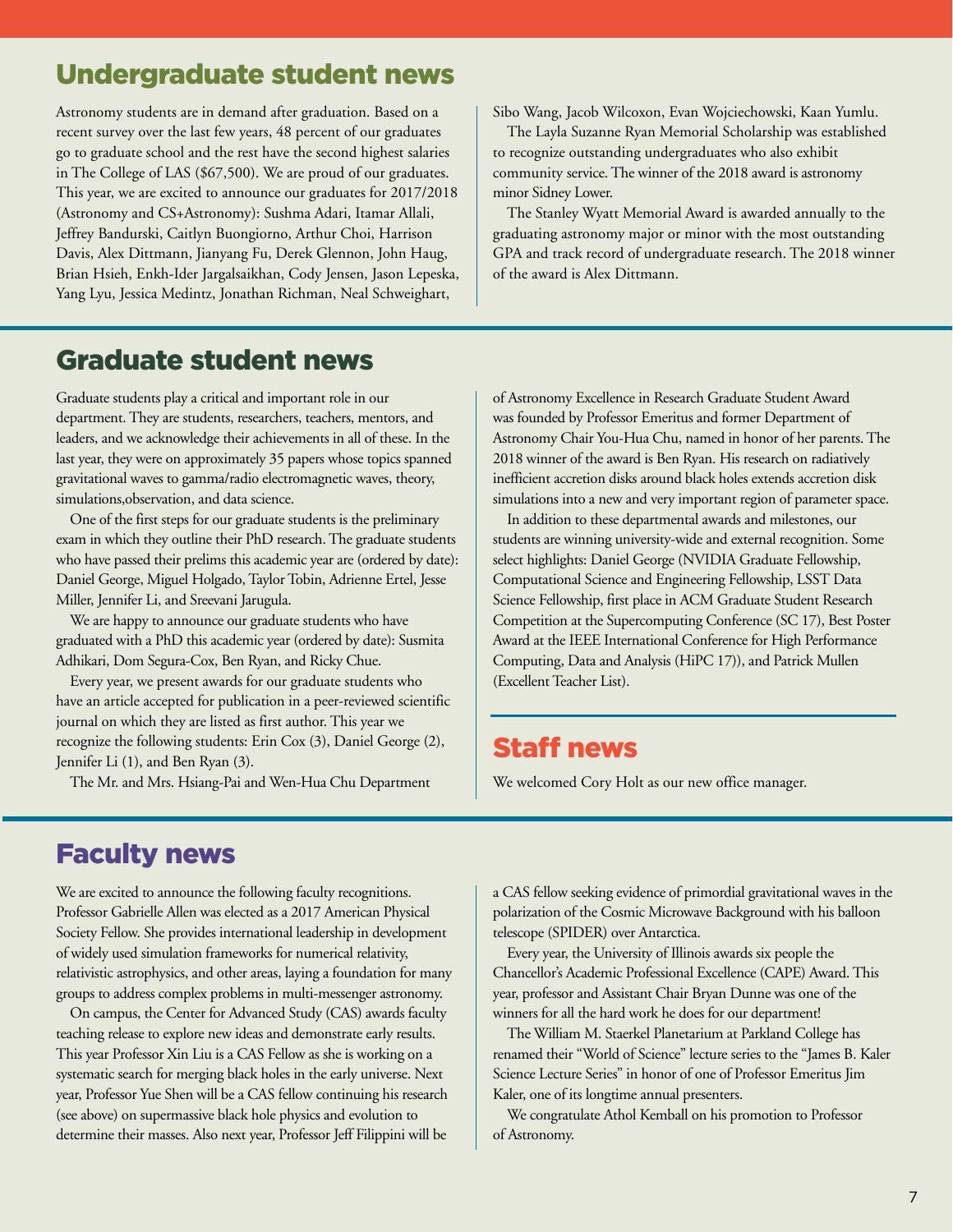#### Undergraduate student news

Astronomy students are in demand after graduation. Based on a recent survey over the last few years, 48 percent of our graduates go to graduate school and the rest have the second highest salaries in The College of LAS (\$67,500). We are proud of our graduates. This year, we are excited to announce our graduates for 2017/2018 (Astronomy and CS+Astronomy): Sushma Adari, Itamar Allali, Jeffrey Bandurski, Caitlyn Buongiorno, Arthur Choi, Harrison Davis, Alex Dittmann, Jianyang Fu, Derek Glennon, John Haug, Brian Hsieh, Enkh-Ider Jargalsaikhan, Cody Jensen, Jason Lepeska, Yang Lyu, Jessica Medintz, Jonathan Richman, Neal Schweighart,

Sibo Wang, Jacob Wilcoxon, Evan Wojciechowski, Kaan Yumlu.

The Layla Suzanne Ryan Memorial Scholarship was established to recognize outstanding undergraduates who also exhibit community service. The winner of the 2018 award is astronomy minor Sidney Lower.

The Stanley Wyatt Memorial Award is awarded annually to the graduating astronomy major or minor with the most outstanding GPA and track record of undergraduate research. The 2018 winner of the award is Alex Dittmann.

#### Graduate student news

Graduate students play a critical and important role in our department. They are students, researchers, teachers, mentors, and leaders, and we acknowledge their achievements in all of these. In the last year, they were on approximately 35 papers whose topics spanned gravitational waves to gamma/radio electromagnetic waves, theory, simulations,observation, and data science.

One of the first steps for our graduate students is the preliminary exam in which they outline their PhD research. The graduate students who have passed their prelims this academic year are (ordered by date): Daniel George, Miguel Holgado, Taylor Tobin, Adrienne Ertel, Jesse Miller, Jennifer Li, and Sreevani Jarugula.

We are happy to announce our graduate students who have graduated with a PhD this academic year (ordered by date): Susmita Adhikari, Dom Segura-Cox, Ben Ryan, and Ricky Chue.

Every year, we present awards for our graduate students who have an article accepted for publication in a peer-reviewed scientific journal on which they are listed as first author. This year we recognize the following students: Erin Cox (3), Daniel George (2), Jennifer Li (1), and Ben Ryan (3).

The Mr. and Mrs. Hsiang-Pai and Wen-Hua Chu Department

of Astronomy Excellence in Research Graduate Student Award was founded by Professor Emeritus and former Department of Astronomy Chair You-Hua Chu, named in honor of her parents. The 2018 winner of the award is Ben Ryan. His research on radiatively inefficient accretion disks around black holes extends accretion disk simulations into a new and very important region of parameter space.

In addition to these departmental awards and milestones, our students are winning university-wide and external recognition. Some select highlights: Daniel George (NVIDIA Graduate Fellowship, Computational Science and Engineering Fellowship, LSST Data Science Fellowship, first place in ACM Graduate Student Research Competition at the Supercomputing Conference (SC 17), Best Poster Award at the IEEE International Conference for High Performance Computing, Data and Analysis (HiPC 17)), and Patrick Mullen (Excellent Teacher List).

#### Staff news

We welcomed Cory Holt as our new office manager.

#### Faculty news

We are excited to announce the following faculty recognitions. Professor Gabrielle Allen was elected as a 2017 American Physical Society Fellow. She provides international leadership in development of widely used simulation frameworks for numerical relativity, relativistic astrophysics, and other areas, laying a foundation for many groups to address complex problems in multi-messenger astronomy.

On campus, the Center for Advanced Study (CAS) awards faculty teaching release to explore new ideas and demonstrate early results. This year Professor Xin Liu is a CAS Fellow as she is working on a systematic search for merging black holes in the early universe. Next year, Professor Yue Shen will be a CAS fellow continuing his research (see above) on supermassive black hole physics and evolution to determine their masses. Also next year, Professor Jeff Filippini will be

a CAS fellow seeking evidence of primordial gravitational waves in the polarization of the Cosmic Microwave Background with his balloon telescope (SPIDER) over Antarctica.

Every year, the University of Illinois awards six people the Chancellor's Academic Professional Excellence (CAPE) Award. This year, professor and Assistant Chair Bryan Dunne was one of the winners for all the hard work he does for our department!

The William M. Staerkel Planetarium at Parkland College has renamed their "World of Science" lecture series to the "James B. Kaler Science Lecture Series" in honor of one of Professor Emeritus Jim Kaler, one of its longtime annual presenters.

We congratulate Athol Kemball on his promotion to Professor of Astronomy.